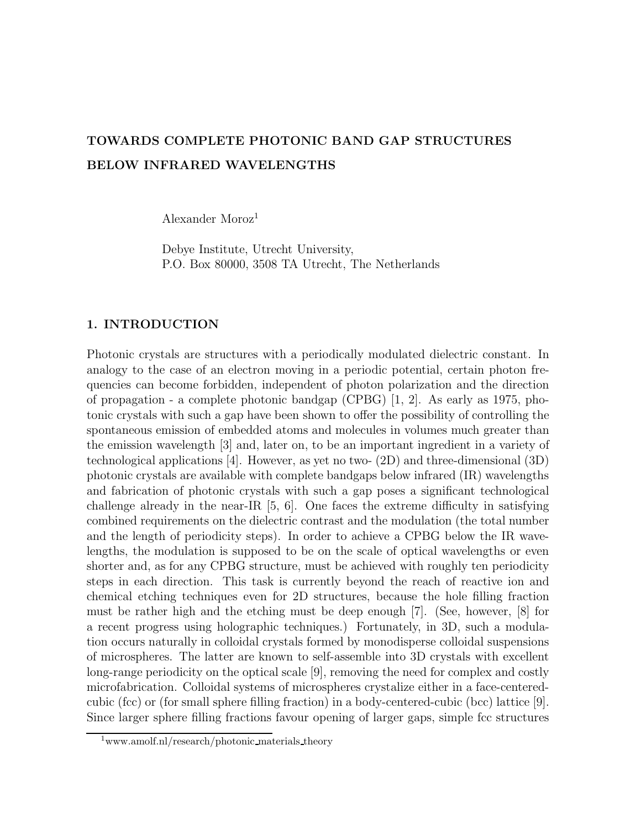# TOWARDS COMPLETE PHOTONIC BAND GAP STRUCTURES BELOW INFRARED WAVELENGTHS

Alexander Moroz<sup>1</sup>

Debye Institute, Utrecht University, P.O. Box 80000, 3508 TA Utrecht, The Netherlands

#### 1. INTRODUCTION

Photonic crystals are structures with a periodically modulated dielectric constant. In analogy to the case of an electron moving in a periodic potential, certain photon frequencies can become forbidden, independent of photon polarization and the direction of propagation - a complete photonic bandgap (CPBG) [1, 2]. As early as 1975, photonic crystals with such a gap have been shown to offer the possibility of controlling the spontaneous emission of embedded atoms and molecules in volumes much greater than the emission wavelength [3] and, later on, to be an important ingredient in a variety of technological applications [4]. However, as yet no two- (2D) and three-dimensional (3D) photonic crystals are available with complete bandgaps below infrared (IR) wavelengths and fabrication of photonic crystals with such a gap poses a significant technological challenge already in the near-IR [5, 6]. One faces the extreme difficulty in satisfying combined requirements on the dielectric contrast and the modulation (the total number and the length of periodicity steps). In order to achieve a CPBG below the IR wavelengths, the modulation is supposed to be on the scale of optical wavelengths or even shorter and, as for any CPBG structure, must be achieved with roughly ten periodicity steps in each direction. This task is currently beyond the reach of reactive ion and chemical etching techniques even for 2D structures, because the hole filling fraction must be rather high and the etching must be deep enough [7]. (See, however, [8] for a recent progress using holographic techniques.) Fortunately, in 3D, such a modulation occurs naturally in colloidal crystals formed by monodisperse colloidal suspensions of microspheres. The latter are known to self-assemble into 3D crystals with excellent long-range periodicity on the optical scale [9], removing the need for complex and costly microfabrication. Colloidal systems of microspheres crystalize either in a face-centeredcubic (fcc) or (for small sphere filling fraction) in a body-centered-cubic (bcc) lattice [9]. Since larger sphere filling fractions favour opening of larger gaps, simple fcc structures

<sup>1</sup>www.amolf.nl/research/photonic materials theory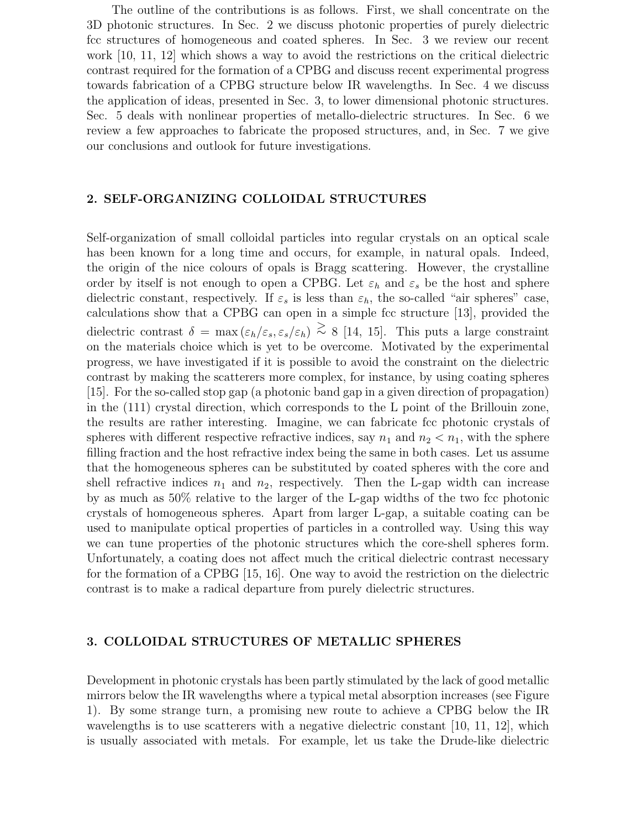The outline of the contributions is as follows. First, we shall concentrate on the 3D photonic structures. In Sec. 2 we discuss photonic properties of purely dielectric fcc structures of homogeneous and coated spheres. In Sec. 3 we review our recent work [10, 11, 12] which shows a way to avoid the restrictions on the critical dielectric contrast required for the formation of a CPBG and discuss recent experimental progress towards fabrication of a CPBG structure below IR wavelengths. In Sec. 4 we discuss the application of ideas, presented in Sec. 3, to lower dimensional photonic structures. Sec. 5 deals with nonlinear properties of metallo-dielectric structures. In Sec. 6 we review a few approaches to fabricate the proposed structures, and, in Sec. 7 we give our conclusions and outlook for future investigations.

#### 2. SELF-ORGANIZING COLLOIDAL STRUCTURES

Self-organization of small colloidal particles into regular crystals on an optical scale has been known for a long time and occurs, for example, in natural opals. Indeed, the origin of the nice colours of opals is Bragg scattering. However, the crystalline order by itself is not enough to open a CPBG. Let  $\varepsilon_h$  and  $\varepsilon_s$  be the host and sphere dielectric constant, respectively. If  $\varepsilon_s$  is less than  $\varepsilon_h$ , the so-called "air spheres" case, calculations show that a CPBG can open in a simple fcc structure [13], provided the dielectric contrast  $\delta = \max(\varepsilon_h/\varepsilon_s, \varepsilon_s/\varepsilon_h) \stackrel{>}{\sim} 8$  [14, 15]. This puts a large constraint on the materials choice which is yet to be overcome. Motivated by the experimental progress, we have investigated if it is possible to avoid the constraint on the dielectric contrast by making the scatterers more complex, for instance, by using coating spheres [15]. For the so-called stop gap (a photonic band gap in a given direction of propagation) in the (111) crystal direction, which corresponds to the L point of the Brillouin zone, the results are rather interesting. Imagine, we can fabricate fcc photonic crystals of spheres with different respective refractive indices, say  $n_1$  and  $n_2 < n_1$ , with the sphere filling fraction and the host refractive index being the same in both cases. Let us assume that the homogeneous spheres can be substituted by coated spheres with the core and shell refractive indices  $n_1$  and  $n_2$ , respectively. Then the L-gap width can increase by as much as 50% relative to the larger of the L-gap widths of the two fcc photonic crystals of homogeneous spheres. Apart from larger L-gap, a suitable coating can be used to manipulate optical properties of particles in a controlled way. Using this way we can tune properties of the photonic structures which the core-shell spheres form. Unfortunately, a coating does not affect much the critical dielectric contrast necessary for the formation of a CPBG [15, 16]. One way to avoid the restriction on the dielectric contrast is to make a radical departure from purely dielectric structures.

#### 3. COLLOIDAL STRUCTURES OF METALLIC SPHERES

Development in photonic crystals has been partly stimulated by the lack of good metallic mirrors below the IR wavelengths where a typical metal absorption increases (see Figure 1). By some strange turn, a promising new route to achieve a CPBG below the IR wavelengths is to use scatterers with a negative dielectric constant [10, 11, 12], which is usually associated with metals. For example, let us take the Drude-like dielectric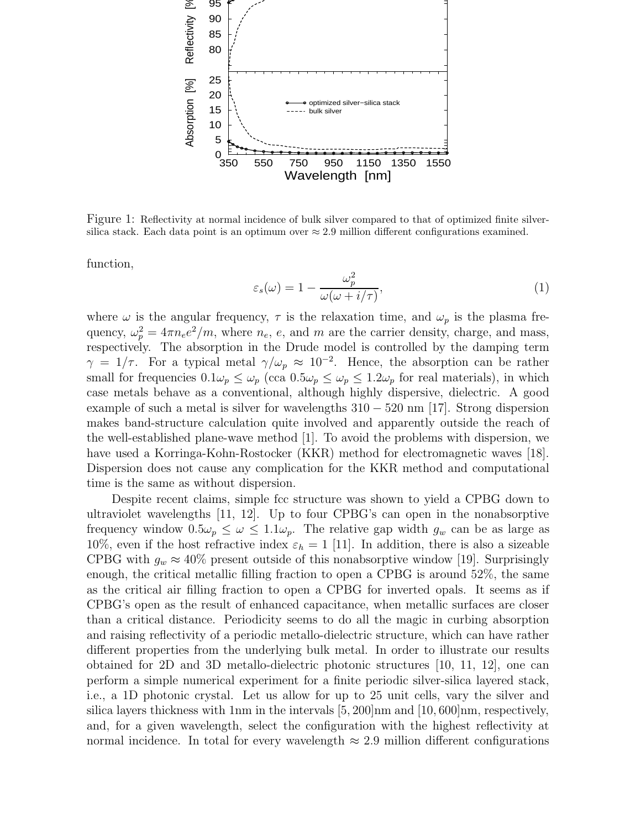

Figure 1: Reflectivity at normal incidence of bulk silver compared to that of optimized finite silversilica stack. Each data point is an optimum over  $\approx 2.9$  million different configurations examined.

function,

$$
\varepsilon_s(\omega) = 1 - \frac{\omega_p^2}{\omega(\omega + i/\tau)},\tag{1}
$$

where  $\omega$  is the angular frequency,  $\tau$  is the relaxation time, and  $\omega_p$  is the plasma frequency,  $\omega_p^2 = 4\pi n_e e^2/m$ , where  $n_e$ , e, and m are the carrier density, charge, and mass, respectively. The absorption in the Drude model is controlled by the damping term  $\gamma = 1/\tau$ . For a typical metal  $\gamma/\omega_p \approx 10^{-2}$ . Hence, the absorption can be rather small for frequencies  $0.1\omega_p \leq \omega_p$  (cca  $0.5\omega_p \leq \omega_p \leq 1.2\omega_p$  for real materials), in which case metals behave as a conventional, although highly dispersive, dielectric. A good example of such a metal is silver for wavelengths  $310 - 520$  nm [17]. Strong dispersion makes band-structure calculation quite involved and apparently outside the reach of the well-established plane-wave method [1]. To avoid the problems with dispersion, we have used a Korringa-Kohn-Rostocker (KKR) method for electromagnetic waves [18]. Dispersion does not cause any complication for the KKR method and computational time is the same as without dispersion.

Despite recent claims, simple fcc structure was shown to yield a CPBG down to ultraviolet wavelengths [11, 12]. Up to four CPBG's can open in the nonabsorptive frequency window  $0.5\omega_p \leq \omega \leq 1.1\omega_p$ . The relative gap width  $g_w$  can be as large as 10%, even if the host refractive index  $\varepsilon_h = 1$  [11]. In addition, there is also a sizeable CPBG with  $g_w \approx 40\%$  present outside of this nonabsorptive window [19]. Surprisingly enough, the critical metallic filling fraction to open a CPBG is around 52%, the same as the critical air filling fraction to open a CPBG for inverted opals. It seems as if CPBG's open as the result of enhanced capacitance, when metallic surfaces are closer than a critical distance. Periodicity seems to do all the magic in curbing absorption and raising reflectivity of a periodic metallo-dielectric structure, which can have rather different properties from the underlying bulk metal. In order to illustrate our results obtained for 2D and 3D metallo-dielectric photonic structures [10, 11, 12], one can perform a simple numerical experiment for a finite periodic silver-silica layered stack, i.e., a 1D photonic crystal. Let us allow for up to 25 unit cells, vary the silver and silica layers thickness with 1nm in the intervals  $[5, 200]$  nm and  $[10, 600]$  nm, respectively, and, for a given wavelength, select the configuration with the highest reflectivity at normal incidence. In total for every wavelength  $\approx 2.9$  million different configurations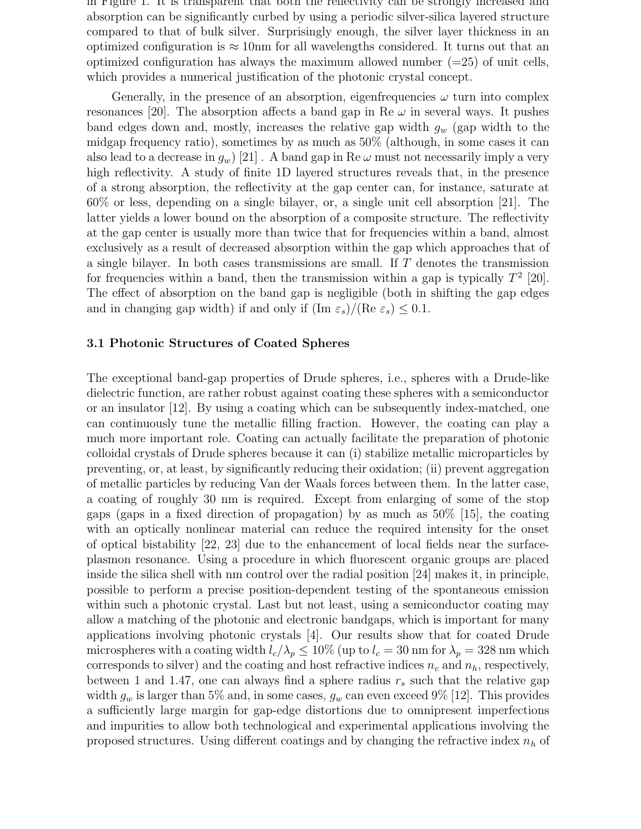in Figure 1. It is transparent that both the reflectivity can be strongly increased and absorption can be significantly curbed by using a periodic silver-silica layered structure compared to that of bulk silver. Surprisingly enough, the silver layer thickness in an optimized configuration is  $\approx 10$ nm for all wavelengths considered. It turns out that an optimized configuration has always the maximum allowed number  $(=25)$  of unit cells, which provides a numerical justification of the photonic crystal concept.

Generally, in the presence of an absorption, eigenfrequencies  $\omega$  turn into complex resonances [20]. The absorption affects a band gap in Re  $\omega$  in several ways. It pushes band edges down and, mostly, increases the relative gap width  $g_w$  (gap width to the midgap frequency ratio), sometimes by as much as 50% (although, in some cases it can also lead to a decrease in  $g_w$  [21]. A band gap in Re  $\omega$  must not necessarily imply a very high reflectivity. A study of finite 1D layered structures reveals that, in the presence of a strong absorption, the reflectivity at the gap center can, for instance, saturate at 60% or less, depending on a single bilayer, or, a single unit cell absorption [21]. The latter yields a lower bound on the absorption of a composite structure. The reflectivity at the gap center is usually more than twice that for frequencies within a band, almost exclusively as a result of decreased absorption within the gap which approaches that of a single bilayer. In both cases transmissions are small. If T denotes the transmission for frequencies within a band, then the transmission within a gap is typically  $T^2$  [20]. The effect of absorption on the band gap is negligible (both in shifting the gap edges and in changing gap width) if and only if  $(\text{Im } \varepsilon_s)/(\text{Re } \varepsilon_s) \leq 0.1$ .

#### 3.1 Photonic Structures of Coated Spheres

The exceptional band-gap properties of Drude spheres, i.e., spheres with a Drude-like dielectric function, are rather robust against coating these spheres with a semiconductor or an insulator [12]. By using a coating which can be subsequently index-matched, one can continuously tune the metallic filling fraction. However, the coating can play a much more important role. Coating can actually facilitate the preparation of photonic colloidal crystals of Drude spheres because it can (i) stabilize metallic microparticles by preventing, or, at least, by significantly reducing their oxidation; (ii) prevent aggregation of metallic particles by reducing Van der Waals forces between them. In the latter case, a coating of roughly 30 nm is required. Except from enlarging of some of the stop gaps (gaps in a fixed direction of propagation) by as much as 50% [15], the coating with an optically nonlinear material can reduce the required intensity for the onset of optical bistability [22, 23] due to the enhancement of local fields near the surfaceplasmon resonance. Using a procedure in which fluorescent organic groups are placed inside the silica shell with nm control over the radial position [24] makes it, in principle, possible to perform a precise position-dependent testing of the spontaneous emission within such a photonic crystal. Last but not least, using a semiconductor coating may allow a matching of the photonic and electronic bandgaps, which is important for many applications involving photonic crystals [4]. Our results show that for coated Drude microspheres with a coating width  $l_c/\lambda_p \leq 10\%$  (up to  $l_c = 30$  nm for  $\lambda_p = 328$  nm which corresponds to silver) and the coating and host refractive indices  $n_c$  and  $n_h$ , respectively, between 1 and 1.47, one can always find a sphere radius  $r_s$  such that the relative gap width  $g_w$  is larger than 5% and, in some cases,  $g_w$  can even exceed 9% [12]. This provides a sufficiently large margin for gap-edge distortions due to omnipresent imperfections and impurities to allow both technological and experimental applications involving the proposed structures. Using different coatings and by changing the refractive index  $n_h$  of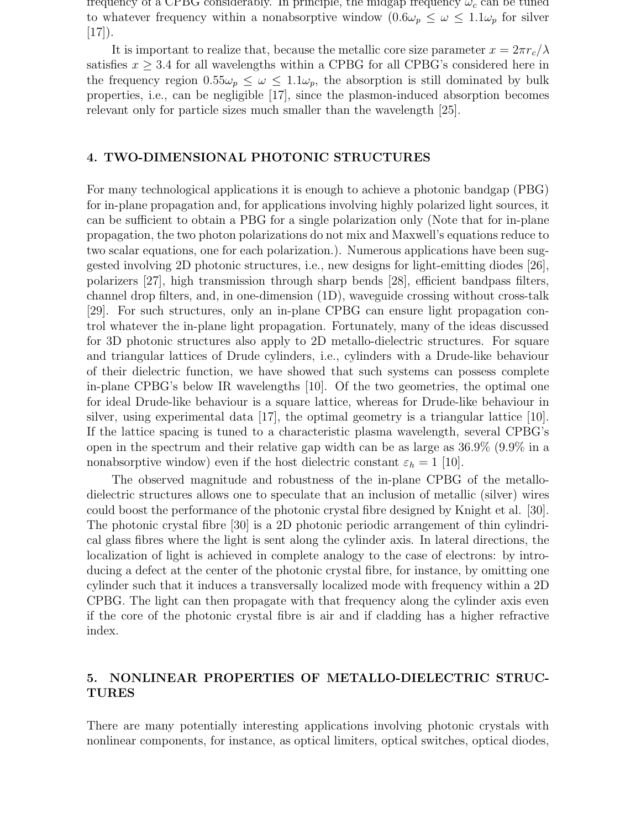frequency of a CPBG considerably. In principle, the midgap frequency  $\omega_c$  can be tuned to whatever frequency within a nonabsorptive window  $(0.6\omega_p \leq \omega \leq 1.1\omega_p$  for silver  $[17]$ ).

It is important to realize that, because the metallic core size parameter  $x = 2\pi r_c/\lambda$ satisfies  $x \geq 3.4$  for all wavelengths within a CPBG for all CPBG's considered here in the frequency region  $0.55\omega_p \leq \omega \leq 1.1\omega_p$ , the absorption is still dominated by bulk properties, i.e., can be negligible [17], since the plasmon-induced absorption becomes relevant only for particle sizes much smaller than the wavelength [25].

#### 4. TWO-DIMENSIONAL PHOTONIC STRUCTURES

For many technological applications it is enough to achieve a photonic bandgap (PBG) for in-plane propagation and, for applications involving highly polarized light sources, it can be sufficient to obtain a PBG for a single polarization only (Note that for in-plane propagation, the two photon polarizations do not mix and Maxwell's equations reduce to two scalar equations, one for each polarization.). Numerous applications have been suggested involving 2D photonic structures, i.e., new designs for light-emitting diodes [26], polarizers [27], high transmission through sharp bends [28], efficient bandpass filters, channel drop filters, and, in one-dimension (1D), waveguide crossing without cross-talk [29]. For such structures, only an in-plane CPBG can ensure light propagation control whatever the in-plane light propagation. Fortunately, many of the ideas discussed for 3D photonic structures also apply to 2D metallo-dielectric structures. For square and triangular lattices of Drude cylinders, i.e., cylinders with a Drude-like behaviour of their dielectric function, we have showed that such systems can possess complete in-plane CPBG's below IR wavelengths [10]. Of the two geometries, the optimal one for ideal Drude-like behaviour is a square lattice, whereas for Drude-like behaviour in silver, using experimental data [17], the optimal geometry is a triangular lattice [10]. If the lattice spacing is tuned to a characteristic plasma wavelength, several CPBG's open in the spectrum and their relative gap width can be as large as 36.9% (9.9% in a nonabsorptive window) even if the host dielectric constant  $\varepsilon_h = 1$  [10].

The observed magnitude and robustness of the in-plane CPBG of the metallodielectric structures allows one to speculate that an inclusion of metallic (silver) wires could boost the performance of the photonic crystal fibre designed by Knight et al. [30]. The photonic crystal fibre [30] is a 2D photonic periodic arrangement of thin cylindrical glass fibres where the light is sent along the cylinder axis. In lateral directions, the localization of light is achieved in complete analogy to the case of electrons: by introducing a defect at the center of the photonic crystal fibre, for instance, by omitting one cylinder such that it induces a transversally localized mode with frequency within a 2D CPBG. The light can then propagate with that frequency along the cylinder axis even if the core of the photonic crystal fibre is air and if cladding has a higher refractive index.

## 5. NONLINEAR PROPERTIES OF METALLO-DIELECTRIC STRUC-TURES

There are many potentially interesting applications involving photonic crystals with nonlinear components, for instance, as optical limiters, optical switches, optical diodes,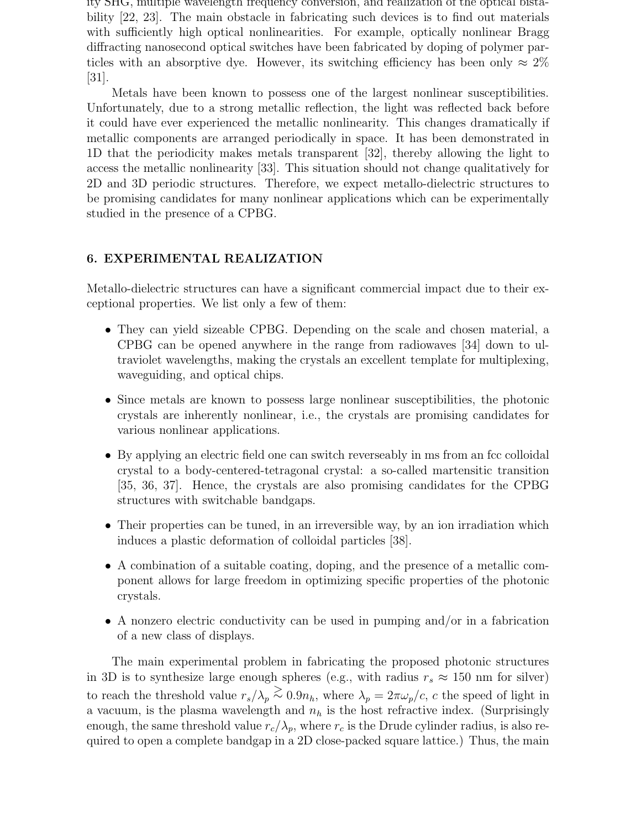ity SHG, multiple wavelength frequency conversion, and realization of the optical bistability [22, 23]. The main obstacle in fabricating such devices is to find out materials with sufficiently high optical nonlinearities. For example, optically nonlinear Bragg diffracting nanosecond optical switches have been fabricated by doping of polymer particles with an absorptive dye. However, its switching efficiency has been only  $\approx 2\%$ [31].

Metals have been known to possess one of the largest nonlinear susceptibilities. Unfortunately, due to a strong metallic reflection, the light was reflected back before it could have ever experienced the metallic nonlinearity. This changes dramatically if metallic components are arranged periodically in space. It has been demonstrated in 1D that the periodicity makes metals transparent [32], thereby allowing the light to access the metallic nonlinearity [33]. This situation should not change qualitatively for 2D and 3D periodic structures. Therefore, we expect metallo-dielectric structures to be promising candidates for many nonlinear applications which can be experimentally studied in the presence of a CPBG.

### 6. EXPERIMENTAL REALIZATION

Metallo-dielectric structures can have a significant commercial impact due to their exceptional properties. We list only a few of them:

- They can yield sizeable CPBG. Depending on the scale and chosen material, a CPBG can be opened anywhere in the range from radiowaves [34] down to ultraviolet wavelengths, making the crystals an excellent template for multiplexing, waveguiding, and optical chips.
- Since metals are known to possess large nonlinear susceptibilities, the photonic crystals are inherently nonlinear, i.e., the crystals are promising candidates for various nonlinear applications.
- By applying an electric field one can switch reverseably in ms from an fcc colloidal crystal to a body-centered-tetragonal crystal: a so-called martensitic transition [35, 36, 37]. Hence, the crystals are also promising candidates for the CPBG structures with switchable bandgaps.
- Their properties can be tuned, in an irreversible way, by an ion irradiation which induces a plastic deformation of colloidal particles [38].
- A combination of a suitable coating, doping, and the presence of a metallic component allows for large freedom in optimizing specific properties of the photonic crystals.
- A nonzero electric conductivity can be used in pumping and/or in a fabrication of a new class of displays.

The main experimental problem in fabricating the proposed photonic structures in 3D is to synthesize large enough spheres (e.g., with radius  $r_s \approx 150$  nm for silver) to reach the threshold value  $r_s/\lambda_p \stackrel{\text{< 0.9n_h, where } \lambda_p = 2\pi\omega_p/c$ , c the speed of light in a vacuum, is the plasma wavelength and  $n_h$  is the host refractive index. (Surprisingly enough, the same threshold value  $r_c/\lambda_p$ , where  $r_c$  is the Drude cylinder radius, is also required to open a complete bandgap in a 2D close-packed square lattice.) Thus, the main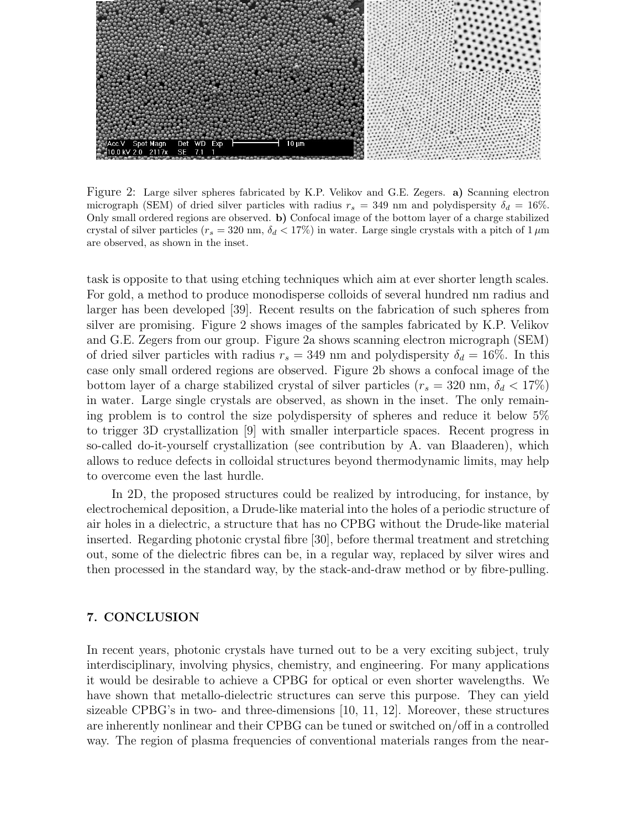

Figure 2: Large silver spheres fabricated by K.P. Velikov and G.E. Zegers. a) Scanning electron micrograph (SEM) of dried silver particles with radius  $r_s = 349$  nm and polydispersity  $\delta_d = 16\%$ . Only small ordered regions are observed. b) Confocal image of the bottom layer of a charge stabilized crystal of silver particles ( $r_s = 320$  nm,  $\delta_d < 17\%$ ) in water. Large single crystals with a pitch of 1  $\mu$ m are observed, as shown in the inset.

task is opposite to that using etching techniques which aim at ever shorter length scales. For gold, a method to produce monodisperse colloids of several hundred nm radius and larger has been developed [39]. Recent results on the fabrication of such spheres from silver are promising. Figure 2 shows images of the samples fabricated by K.P. Velikov and G.E. Zegers from our group. Figure 2a shows scanning electron micrograph (SEM) of dried silver particles with radius  $r_s = 349$  nm and polydispersity  $\delta_d = 16\%$ . In this case only small ordered regions are observed. Figure 2b shows a confocal image of the bottom layer of a charge stabilized crystal of silver particles ( $r_s = 320$  nm,  $\delta_d < 17\%$ ) in water. Large single crystals are observed, as shown in the inset. The only remaining problem is to control the size polydispersity of spheres and reduce it below 5% to trigger 3D crystallization [9] with smaller interparticle spaces. Recent progress in so-called do-it-yourself crystallization (see contribution by A. van Blaaderen), which allows to reduce defects in colloidal structures beyond thermodynamic limits, may help to overcome even the last hurdle.

In 2D, the proposed structures could be realized by introducing, for instance, by electrochemical deposition, a Drude-like material into the holes of a periodic structure of air holes in a dielectric, a structure that has no CPBG without the Drude-like material inserted. Regarding photonic crystal fibre [30], before thermal treatment and stretching out, some of the dielectric fibres can be, in a regular way, replaced by silver wires and then processed in the standard way, by the stack-and-draw method or by fibre-pulling.

#### 7. CONCLUSION

In recent years, photonic crystals have turned out to be a very exciting subject, truly interdisciplinary, involving physics, chemistry, and engineering. For many applications it would be desirable to achieve a CPBG for optical or even shorter wavelengths. We have shown that metallo-dielectric structures can serve this purpose. They can yield sizeable CPBG's in two- and three-dimensions [10, 11, 12]. Moreover, these structures are inherently nonlinear and their CPBG can be tuned or switched on/off in a controlled way. The region of plasma frequencies of conventional materials ranges from the near-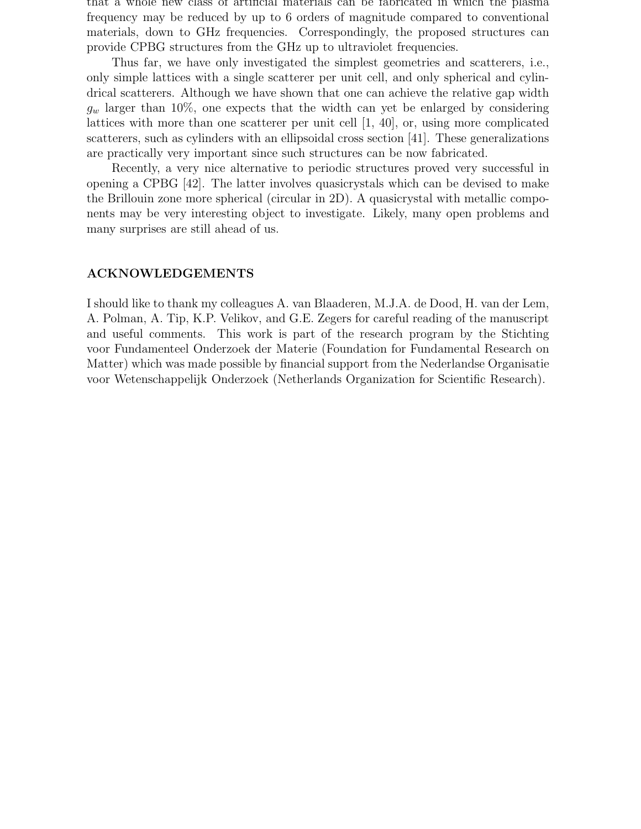that a whole new class of artificial materials can be fabricated in which the plasma frequency may be reduced by up to 6 orders of magnitude compared to conventional materials, down to GHz frequencies. Correspondingly, the proposed structures can provide CPBG structures from the GHz up to ultraviolet frequencies.

Thus far, we have only investigated the simplest geometries and scatterers, i.e., only simple lattices with a single scatterer per unit cell, and only spherical and cylindrical scatterers. Although we have shown that one can achieve the relative gap width  $g_w$  larger than 10%, one expects that the width can yet be enlarged by considering lattices with more than one scatterer per unit cell [1, 40], or, using more complicated scatterers, such as cylinders with an ellipsoidal cross section [41]. These generalizations are practically very important since such structures can be now fabricated.

Recently, a very nice alternative to periodic structures proved very successful in opening a CPBG [42]. The latter involves quasicrystals which can be devised to make the Brillouin zone more spherical (circular in 2D). A quasicrystal with metallic components may be very interesting object to investigate. Likely, many open problems and many surprises are still ahead of us.

#### ACKNOWLEDGEMENTS

I should like to thank my colleagues A. van Blaaderen, M.J.A. de Dood, H. van der Lem, A. Polman, A. Tip, K.P. Velikov, and G.E. Zegers for careful reading of the manuscript and useful comments. This work is part of the research program by the Stichting voor Fundamenteel Onderzoek der Materie (Foundation for Fundamental Research on Matter) which was made possible by financial support from the Nederlandse Organisatie voor Wetenschappelijk Onderzoek (Netherlands Organization for Scientific Research).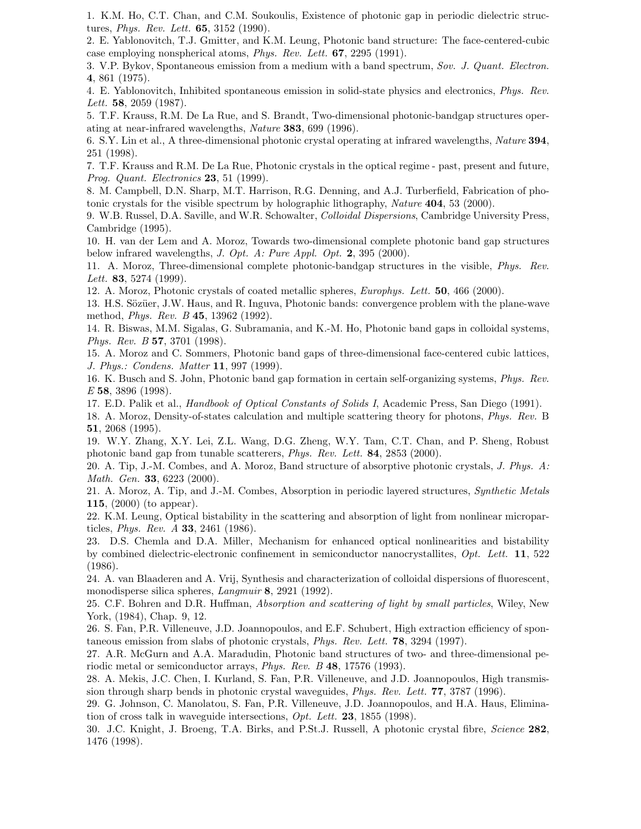1. K.M. Ho, C.T. Chan, and C.M. Soukoulis, Existence of photonic gap in periodic dielectric structures, Phys. Rev. Lett. 65, 3152 (1990).

2. E. Yablonovitch, T.J. Gmitter, and K.M. Leung, Photonic band structure: The face-centered-cubic case employing nonspherical atoms, Phys. Rev. Lett. 67, 2295 (1991).

3. V.P. Bykov, Spontaneous emission from a medium with a band spectrum, Sov. J. Quant. Electron. 4, 861 (1975).

4. E. Yablonovitch, Inhibited spontaneous emission in solid-state physics and electronics, Phys. Rev. Lett. **58**, 2059 (1987).

5. T.F. Krauss, R.M. De La Rue, and S. Brandt, Two-dimensional photonic-bandgap structures operating at near-infrared wavelengths, Nature 383, 699 (1996).

6. S.Y. Lin et al., A three-dimensional photonic crystal operating at infrared wavelengths, Nature 394, 251 (1998).

7. T.F. Krauss and R.M. De La Rue, Photonic crystals in the optical regime - past, present and future, *Prog. Quant. Electronics* **23**, 51 (1999).

8. M. Campbell, D.N. Sharp, M.T. Harrison, R.G. Denning, and A.J. Turberfield, Fabrication of photonic crystals for the visible spectrum by holographic lithography, Nature 404, 53 (2000).

9. W.B. Russel, D.A. Saville, and W.R. Schowalter, Colloidal Dispersions, Cambridge University Press, Cambridge (1995).

10. H. van der Lem and A. Moroz, Towards two-dimensional complete photonic band gap structures below infrared wavelengths, J. Opt. A: Pure Appl. Opt. 2, 395 (2000).

11. A. Moroz, Three-dimensional complete photonic-bandgap structures in the visible, Phys. Rev. Lett. **83**, 5274 (1999).

12. A. Moroz, Photonic crystals of coated metallic spheres, Europhys. Lett. 50, 466 (2000).

13. H.S. Sözüer, J.W. Haus, and R. Inguva, Photonic bands: convergence problem with the plane-wave method, Phys. Rev. B 45, 13962 (1992).

14. R. Biswas, M.M. Sigalas, G. Subramania, and K.-M. Ho, Photonic band gaps in colloidal systems, Phys. Rev. B 57, 3701 (1998).

15. A. Moroz and C. Sommers, Photonic band gaps of three-dimensional face-centered cubic lattices, J. Phys.: Condens. Matter 11, 997 (1999).

16. K. Busch and S. John, Photonic band gap formation in certain self-organizing systems, Phys. Rev. E 58, 3896 (1998).

17. E.D. Palik et al., Handbook of Optical Constants of Solids I, Academic Press, San Diego (1991).

18. A. Moroz, Density-of-states calculation and multiple scattering theory for photons, Phys. Rev. B 51, 2068 (1995).

19. W.Y. Zhang, X.Y. Lei, Z.L. Wang, D.G. Zheng, W.Y. Tam, C.T. Chan, and P. Sheng, Robust photonic band gap from tunable scatterers, Phys. Rev. Lett. 84, 2853 (2000).

20. A. Tip, J.-M. Combes, and A. Moroz, Band structure of absorptive photonic crystals, J. Phys. A: Math. Gen. 33, 6223 (2000).

21. A. Moroz, A. Tip, and J.-M. Combes, Absorption in periodic layered structures, Synthetic Metals 115, (2000) (to appear).

22. K.M. Leung, Optical bistability in the scattering and absorption of light from nonlinear microparticles, Phys. Rev. A 33, 2461 (1986).

23. D.S. Chemla and D.A. Miller, Mechanism for enhanced optical nonlinearities and bistability by combined dielectric-electronic confinement in semiconductor nanocrystallites, Opt. Lett. 11, 522 (1986).

24. A. van Blaaderen and A. Vrij, Synthesis and characterization of colloidal dispersions of fluorescent, monodisperse silica spheres, Langmuir 8, 2921 (1992).

25. C.F. Bohren and D.R. Huffman, Absorption and scattering of light by small particles, Wiley, New York, (1984), Chap. 9, 12.

26. S. Fan, P.R. Villeneuve, J.D. Joannopoulos, and E.F. Schubert, High extraction efficiency of spontaneous emission from slabs of photonic crystals, Phys. Rev. Lett. 78, 3294 (1997).

27. A.R. McGurn and A.A. Maradudin, Photonic band structures of two- and three-dimensional periodic metal or semiconductor arrays, Phys. Rev. B 48, 17576 (1993).

28. A. Mekis, J.C. Chen, I. Kurland, S. Fan, P.R. Villeneuve, and J.D. Joannopoulos, High transmission through sharp bends in photonic crystal waveguides, Phys. Rev. Lett. 77, 3787 (1996).

29. G. Johnson, C. Manolatou, S. Fan, P.R. Villeneuve, J.D. Joannopoulos, and H.A. Haus, Elimination of cross talk in waveguide intersections, Opt. Lett. 23, 1855 (1998).

30. J.C. Knight, J. Broeng, T.A. Birks, and P.St.J. Russell, A photonic crystal fibre, Science 282, 1476 (1998).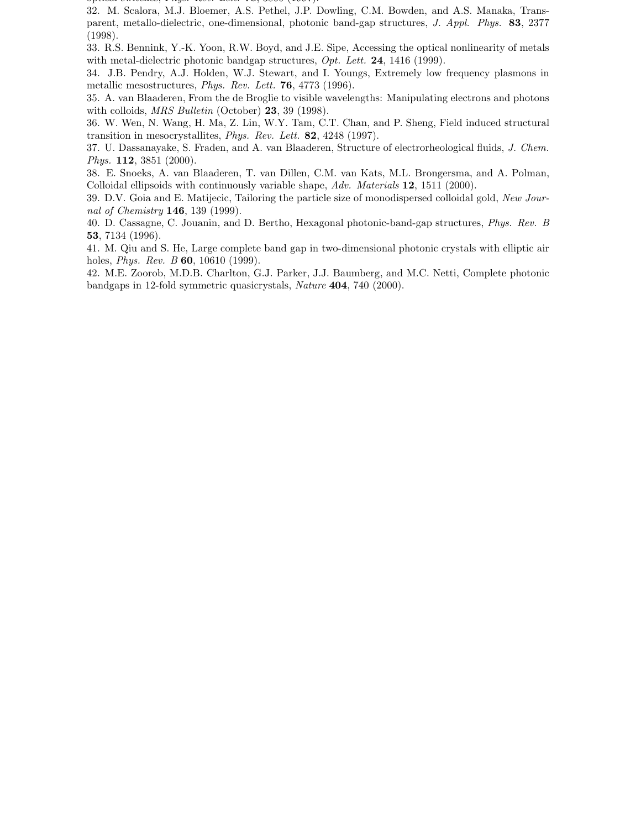$\sigma$ ptical switches, Phys. Rev. Bott. 78, 3860 (2007).

32. M. Scalora, M.J. Bloemer, A.S. Pethel, J.P. Dowling, C.M. Bowden, and A.S. Manaka, Transparent, metallo-dielectric, one-dimensional, photonic band-gap structures, J. Appl. Phys. 83, 2377 (1998).

33. R.S. Bennink, Y.-K. Yoon, R.W. Boyd, and J.E. Sipe, Accessing the optical nonlinearity of metals with metal-dielectric photonic bandgap structures,  $Opt.$  Lett. 24, 1416 (1999).

34. J.B. Pendry, A.J. Holden, W.J. Stewart, and I. Youngs, Extremely low frequency plasmons in metallic mesostructures, Phys. Rev. Lett. 76, 4773 (1996).

35. A. van Blaaderen, From the de Broglie to visible wavelengths: Manipulating electrons and photons with colloids, *MRS Bulletin* (October) **23**, 39 (1998).

36. W. Wen, N. Wang, H. Ma, Z. Lin, W.Y. Tam, C.T. Chan, and P. Sheng, Field induced structural transition in mesocrystallites, Phys. Rev. Lett. 82, 4248 (1997).

37. U. Dassanayake, S. Fraden, and A. van Blaaderen, Structure of electrorheological fluids, J. Chem. Phys. **112**, 3851 (2000).

38. E. Snoeks, A. van Blaaderen, T. van Dillen, C.M. van Kats, M.L. Brongersma, and A. Polman, Colloidal ellipsoids with continuously variable shape, Adv. Materials 12, 1511 (2000).

39. D.V. Goia and E. Matijecic, Tailoring the particle size of monodispersed colloidal gold, New Journal of Chemistry **146**, 139 (1999).

40. D. Cassagne, C. Jouanin, and D. Bertho, Hexagonal photonic-band-gap structures, Phys. Rev. B 53, 7134 (1996).

41. M. Qiu and S. He, Large complete band gap in two-dimensional photonic crystals with elliptic air holes, *Phys. Rev. B* **60**, 10610 (1999).

42. M.E. Zoorob, M.D.B. Charlton, G.J. Parker, J.J. Baumberg, and M.C. Netti, Complete photonic bandgaps in 12-fold symmetric quasicrystals, Nature 404, 740 (2000).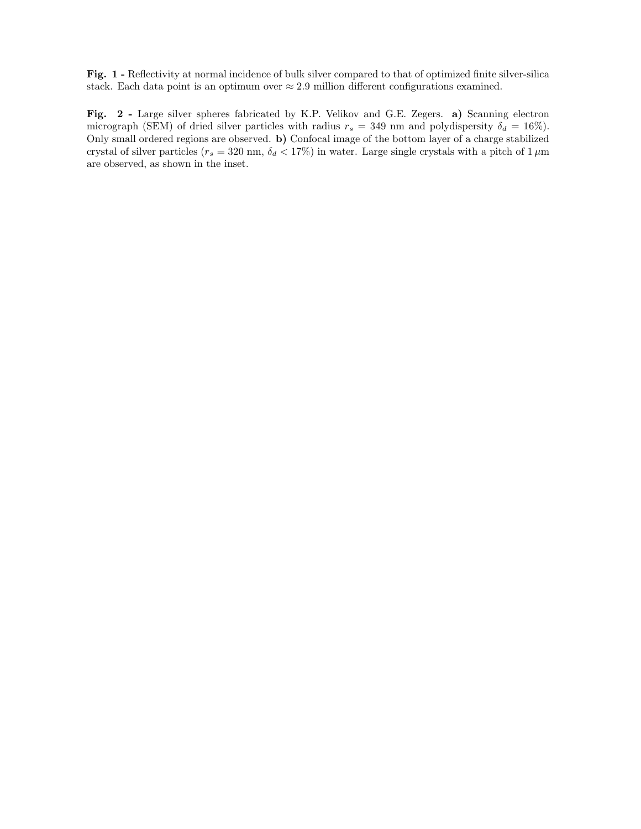Fig. 1 - Reflectivity at normal incidence of bulk silver compared to that of optimized finite silver-silica stack. Each data point is an optimum over  $\approx 2.9$  million different configurations examined.

Fig. 2 - Large silver spheres fabricated by K.P. Velikov and G.E. Zegers. a) Scanning electron micrograph (SEM) of dried silver particles with radius  $r_s = 349$  nm and polydispersity  $\delta_d = 16\%$ ). Only small ordered regions are observed. b) Confocal image of the bottom layer of a charge stabilized crystal of silver particles ( $r_s = 320$  nm,  $\delta_d < 17\%$ ) in water. Large single crystals with a pitch of 1  $\mu$ m are observed, as shown in the inset.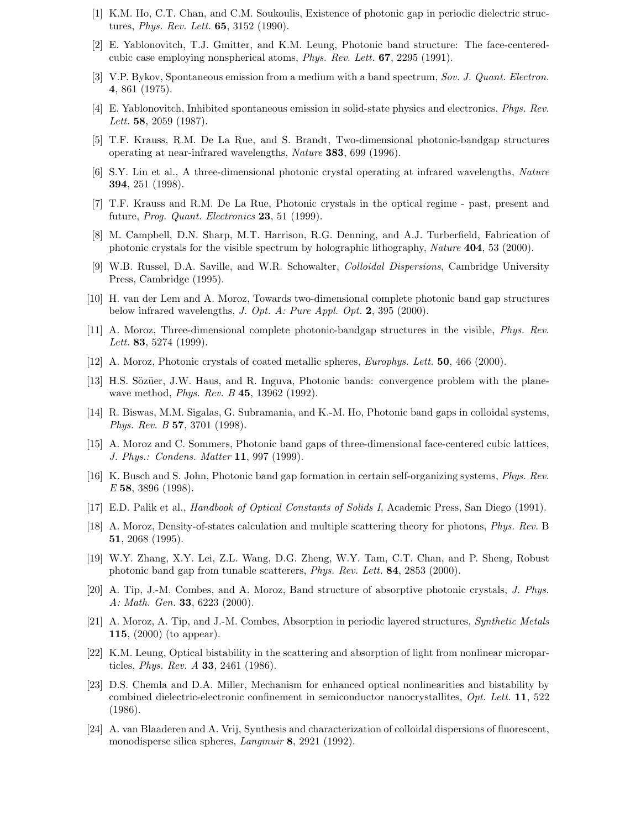- [1] K.M. Ho, C.T. Chan, and C.M. Soukoulis, Existence of photonic gap in periodic dielectric structures, Phys. Rev. Lett. 65, 3152 (1990).
- [2] E. Yablonovitch, T.J. Gmitter, and K.M. Leung, Photonic band structure: The face-centeredcubic case employing nonspherical atoms, Phys. Rev. Lett. 67, 2295 (1991).
- [3] V.P. Bykov, Spontaneous emission from a medium with a band spectrum, Sov. J. Quant. Electron. 4, 861 (1975).
- [4] E. Yablonovitch, Inhibited spontaneous emission in solid-state physics and electronics, Phys. Rev. Lett. **58**, 2059 (1987).
- [5] T.F. Krauss, R.M. De La Rue, and S. Brandt, Two-dimensional photonic-bandgap structures operating at near-infrared wavelengths, Nature 383, 699 (1996).
- [6] S.Y. Lin et al., A three-dimensional photonic crystal operating at infrared wavelengths, Nature 394, 251 (1998).
- [7] T.F. Krauss and R.M. De La Rue, Photonic crystals in the optical regime past, present and future, *Prog. Quant. Electronics* **23**, 51 (1999).
- [8] M. Campbell, D.N. Sharp, M.T. Harrison, R.G. Denning, and A.J. Turberfield, Fabrication of photonic crystals for the visible spectrum by holographic lithography, Nature 404, 53 (2000).
- [9] W.B. Russel, D.A. Saville, and W.R. Schowalter, Colloidal Dispersions, Cambridge University Press, Cambridge (1995).
- [10] H. van der Lem and A. Moroz, Towards two-dimensional complete photonic band gap structures below infrared wavelengths, J. Opt. A: Pure Appl. Opt.  $2, 395$  (2000).
- [11] A. Moroz, Three-dimensional complete photonic-bandgap structures in the visible, Phys. Rev. *Lett.* **83**, 5274 (1999).
- [12] A. Moroz, Photonic crystals of coated metallic spheres, Europhys. Lett. 50, 466 (2000).
- [13] H.S. Sözüer, J.W. Haus, and R. Inguva, Photonic bands: convergence problem with the planewave method, *Phys. Rev. B* 45, 13962 (1992).
- [14] R. Biswas, M.M. Sigalas, G. Subramania, and K.-M. Ho, Photonic band gaps in colloidal systems, Phys. Rev. B 57, 3701 (1998).
- [15] A. Moroz and C. Sommers, Photonic band gaps of three-dimensional face-centered cubic lattices, J. Phys.: Condens. Matter 11, 997 (1999).
- [16] K. Busch and S. John, Photonic band gap formation in certain self-organizing systems, Phys. Rev. E 58, 3896 (1998).
- [17] E.D. Palik et al., Handbook of Optical Constants of Solids I, Academic Press, San Diego (1991).
- [18] A. Moroz, Density-of-states calculation and multiple scattering theory for photons, Phys. Rev. B 51, 2068 (1995).
- [19] W.Y. Zhang, X.Y. Lei, Z.L. Wang, D.G. Zheng, W.Y. Tam, C.T. Chan, and P. Sheng, Robust photonic band gap from tunable scatterers, Phys. Rev. Lett. 84, 2853 (2000).
- [20] A. Tip, J.-M. Combes, and A. Moroz, Band structure of absorptive photonic crystals, J. Phys. A: Math. Gen. 33, 6223 (2000).
- [21] A. Moroz, A. Tip, and J.-M. Combes, Absorption in periodic layered structures, Synthetic Metals 115, (2000) (to appear).
- [22] K.M. Leung, Optical bistability in the scattering and absorption of light from nonlinear microparticles, Phys. Rev. A 33, 2461 (1986).
- [23] D.S. Chemla and D.A. Miller, Mechanism for enhanced optical nonlinearities and bistability by combined dielectric-electronic confinement in semiconductor nanocrystallites, Opt. Lett. 11, 522 (1986).
- [24] A. van Blaaderen and A. Vrij, Synthesis and characterization of colloidal dispersions of fluorescent, monodisperse silica spheres, *Langmuir* 8, 2921 (1992).